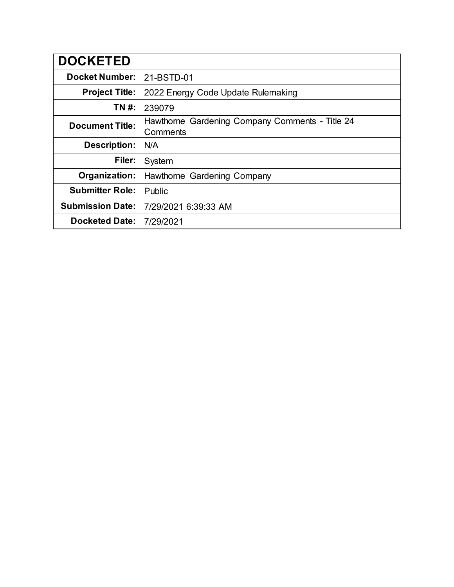| <b>DOCKETED</b>         |                                                             |
|-------------------------|-------------------------------------------------------------|
| <b>Docket Number:</b>   | 21-BSTD-01                                                  |
| <b>Project Title:</b>   | 2022 Energy Code Update Rulemaking                          |
| TN #:                   | 239079                                                      |
| <b>Document Title:</b>  | Hawthorne Gardening Company Comments - Title 24<br>Comments |
| <b>Description:</b>     | N/A                                                         |
| Filer:                  | System                                                      |
| Organization:           | Hawthorne Gardening Company                                 |
| <b>Submitter Role:</b>  | Public                                                      |
| <b>Submission Date:</b> | 7/29/2021 6:39:33 AM                                        |
| <b>Docketed Date:</b>   | 7/29/2021                                                   |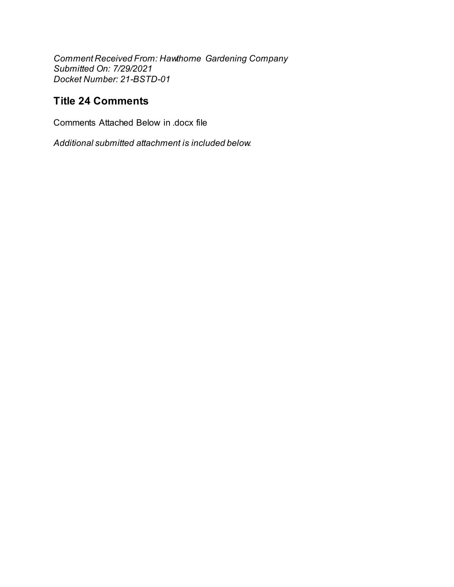Comment Received From: Hawthorne Gardening Company Submitted On: 7/29/2021 Docket Number: 21-BSTD-01

# **Title 24 Comments**

Comments Attached Below in docx file

Additional submitted attachment is included below.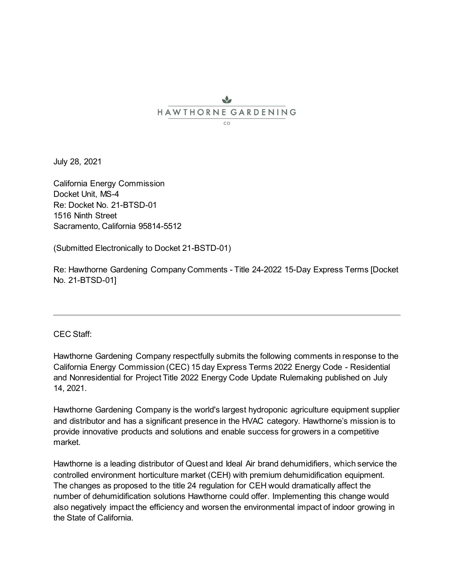## J. HAWTHORNE GARDENING  $CO$

July 28, 2021

California Energy Commission Docket Unit, MS-4 Re: Docket No. 21-BTSD-01 1516 Ninth Street Sacramento, California 95814-5512

(Submitted Electronically to Docket 21-BSTD-01)

Re: Hawthorne Gardening Company Comments - Title 24-2022 15-Day Express Terms [Docket No. 21-BTSD-01]

## CEC Staff:

Hawthorne Gardening Company respectfully submits the following comments in response to the California Energy Commission (CEC) 15 day Express Terms 2022 Energy Code - Residential and Nonresidential for Project Title 2022 Energy Code Update Rulemaking published on July 14, 2021.

Hawthorne Gardening Company is the world's largest hydroponic agriculture equipment supplier and distributor and has a significant presence in the HVAC category. Hawthorne's mission is to provide innovative products and solutions and enable success for growers in a competitive market.

Hawthorne is a leading distributor of Quest and Ideal Air brand dehumidifiers, which service the controlled environment horticulture market (CEH) with premium dehumidification equipment. The changes as proposed to the title 24 regulation for CEH would dramatically affect the number of dehumidification solutions Hawthorne could offer. Implementing this change would also negatively impact the efficiency and worsen the environmental impact of indoor growing in the State of California.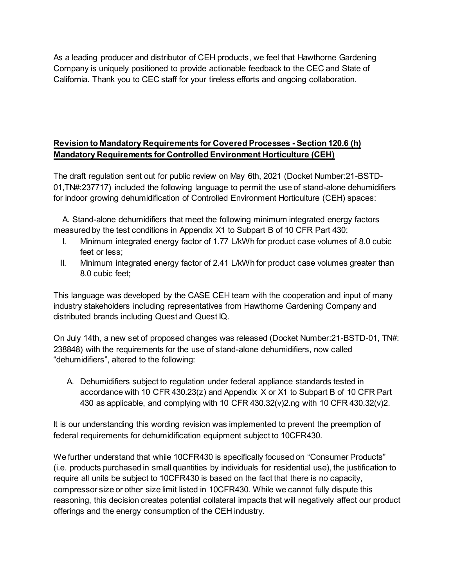As a leading producer and distributor of CEH products, we feel that Hawthorne Gardening Company is uniquely positioned to provide actionable feedback to the CEC and State of California. Thank you to CEC staff for your tireless efforts and ongoing collaboration.

# **Revision to Mandatory Requirements for Covered Processes - Section 120.6 (h) Mandatory Requirements for Controlled Environment Horticulture (CEH)**

The draft regulation sent out for public review on May 6th, 2021 (Docket Number:21-BSTD-01,TN#:237717) included the following language to permit the use of stand-alone dehumidifiers for indoor growing dehumidification of Controlled Environment Horticulture (CEH) spaces:

 A. Stand-alone dehumidifiers that meet the following minimum integrated energy factors measured by the test conditions in Appendix X1 to Subpart B of 10 CFR Part 430:

- I. Minimum integrated energy factor of 1.77 L/kWh for product case volumes of 8.0 cubic feet or less;
- II. Minimum integrated energy factor of 2.41 L/kWh for product case volumes greater than 8.0 cubic feet;

This language was developed by the CASE CEH team with the cooperation and input of many industry stakeholders including representatives from Hawthorne Gardening Company and distributed brands including Quest and Quest IQ.

On July 14th, a new set of proposed changes was released (Docket Number:21-BSTD-01, TN#: 238848) with the requirements for the use of stand-alone dehumidifiers, now called "dehumidifiers", altered to the following:

A. Dehumidifiers subject to regulation under federal appliance standards tested in accordance with 10 CFR 430.23(z) and Appendix X or X1 to Subpart B of 10 CFR Part 430 as applicable, and complying with 10 CFR 430.32(v)2.ng with 10 CFR 430.32(v)2.

It is our understanding this wording revision was implemented to prevent the preemption of federal requirements for dehumidification equipment subject to 10CFR430.

We further understand that while 10CFR430 is specifically focused on "Consumer Products" (i.e. products purchased in small quantities by individuals for residential use), the justification to require all units be subject to 10CFR430 is based on the fact that there is no capacity, compressor size or other size limit listed in 10CFR430. While we cannot fully dispute this reasoning, this decision creates potential collateral impacts that will negatively affect our product offerings and the energy consumption of the CEH industry.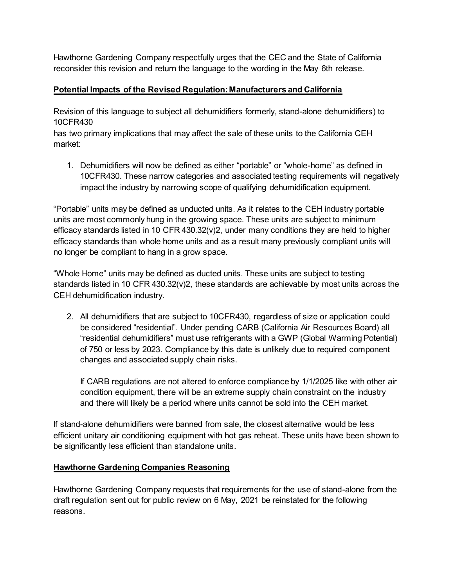Hawthorne Gardening Company respectfully urges that the CEC and the State of California reconsider this revision and return the language to the wording in the May 6th release.

## **Potential Impacts of the Revised Regulation: Manufacturers and California**

Revision of this language to subject all dehumidifiers formerly, stand-alone dehumidifiers) to 10CFR430

has two primary implications that may affect the sale of these units to the California CEH market:

1. Dehumidifiers will now be defined as either "portable" or "whole-home" as defined in 10CFR430. These narrow categories and associated testing requirements will negatively impact the industry by narrowing scope of qualifying dehumidification equipment.

"Portable" units may be defined as unducted units. As it relates to the CEH industry portable units are most commonly hung in the growing space. These units are subject to minimum efficacy standards listed in 10 CFR 430.32(v)2, under many conditions they are held to higher efficacy standards than whole home units and as a result many previously compliant units will no longer be compliant to hang in a grow space.

"Whole Home" units may be defined as ducted units. These units are subject to testing standards listed in 10 CFR 430.32(v)2, these standards are achievable by most units across the CEH dehumidification industry.

2. All dehumidifiers that are subject to 10CFR430, regardless of size or application could be considered "residential". Under pending CARB (California Air Resources Board) all "residential dehumidifiers" must use refrigerants with a GWP (Global Warming Potential) of 750 or less by 2023. Compliance by this date is unlikely due to required component changes and associated supply chain risks.

If CARB regulations are not altered to enforce compliance by 1/1/2025 like with other air condition equipment, there will be an extreme supply chain constraint on the industry and there will likely be a period where units cannot be sold into the CEH market.

If stand-alone dehumidifiers were banned from sale, the closest alternative would be less efficient unitary air conditioning equipment with hot gas reheat. These units have been shown to be significantly less efficient than standalone units.

## **Hawthorne Gardening Companies Reasoning**

Hawthorne Gardening Company requests that requirements for the use of stand-alone from the draft regulation sent out for public review on 6 May, 2021 be reinstated for the following reasons.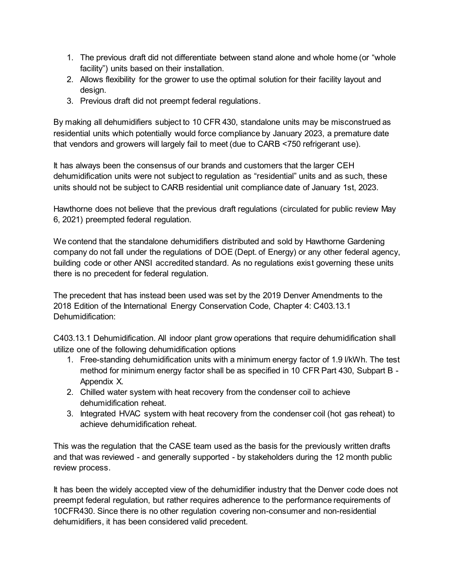- 1. The previous draft did not differentiate between stand alone and whole home (or "whole facility") units based on their installation.
- 2. Allows flexibility for the grower to use the optimal solution for their facility layout and design.
- 3. Previous draft did not preempt federal regulations.

By making all dehumidifiers subject to 10 CFR 430, standalone units may be misconstrued as residential units which potentially would force compliance by January 2023, a premature date that vendors and growers will largely fail to meet (due to CARB <750 refrigerant use).

It has always been the consensus of our brands and customers that the larger CEH dehumidification units were not subject to regulation as "residential" units and as such, these units should not be subject to CARB residential unit compliance date of January 1st, 2023.

Hawthorne does not believe that the previous draft regulations (circulated for public review May 6, 2021) preempted federal regulation.

We contend that the standalone dehumidifiers distributed and sold by Hawthorne Gardening company do not fall under the regulations of DOE (Dept. of Energy) or any other federal agency, building code or other ANSI accredited standard. As no regulations exist governing these units there is no precedent for federal regulation.

The precedent that has instead been used was set by the 2019 Denver Amendments to the 2018 Edition of the International Energy Conservation Code, Chapter 4: C403.13.1 Dehumidification:

C403.13.1 Dehumidification. All indoor plant grow operations that require dehumidification shall utilize one of the following dehumidification options

- 1. Free-standing dehumidification units with a minimum energy factor of 1.9 l/kWh. The test method for minimum energy factor shall be as specified in 10 CFR Part 430, Subpart B - Appendix X.
- 2. Chilled water system with heat recovery from the condenser coil to achieve dehumidification reheat.
- 3. Integrated HVAC system with heat recovery from the condenser coil (hot gas reheat) to achieve dehumidification reheat.

This was the regulation that the CASE team used as the basis for the previously written drafts and that was reviewed - and generally supported - by stakeholders during the 12 month public review process.

It has been the widely accepted view of the dehumidifier industry that the Denver code does not preempt federal regulation, but rather requires adherence to the performance requirements of 10CFR430. Since there is no other regulation covering non-consumer and non-residential dehumidifiers, it has been considered valid precedent.